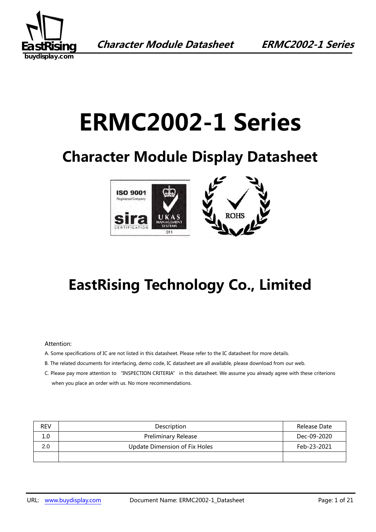

# **ERMC2002-1 Series**

## **Character Module Display Datasheet**



## **EastRising Technology Co., Limited**

#### Attention:

- A. Some specifications of IC are not listed in this datasheet. Please refer to the IC datasheet for more details.
- B. The related documents for interfacing, demo code, IC datasheet are all available, please download from our web.
- C. Please pay more attention to "INSPECTION CRITERIA" in this datasheet. We assume you already agree with these criterions when you place an order with us. No more recommendations.

| <b>REV</b> | Description                          | Release Date |
|------------|--------------------------------------|--------------|
| 1.0        | <b>Preliminary Release</b>           | Dec-09-2020  |
| 2.0        | <b>Update Dimension of Fix Holes</b> | Feb-23-2021  |
|            |                                      |              |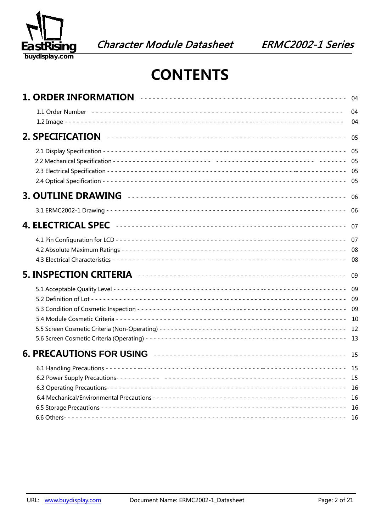

## **CONTENTS**

|  | 04<br>04                   |
|--|----------------------------|
|  | 05                         |
|  |                            |
|  | - 06                       |
|  | 06                         |
|  | 07                         |
|  |                            |
|  |                            |
|  |                            |
|  |                            |
|  | - 15<br>16<br>- 16<br>- 16 |
|  |                            |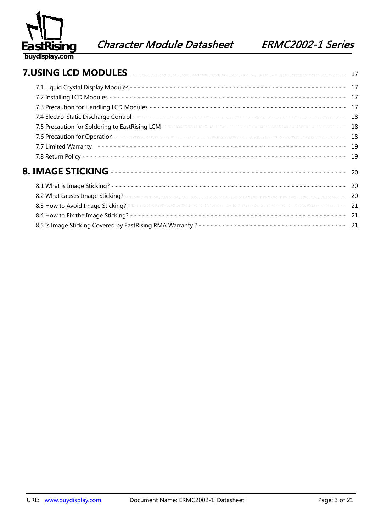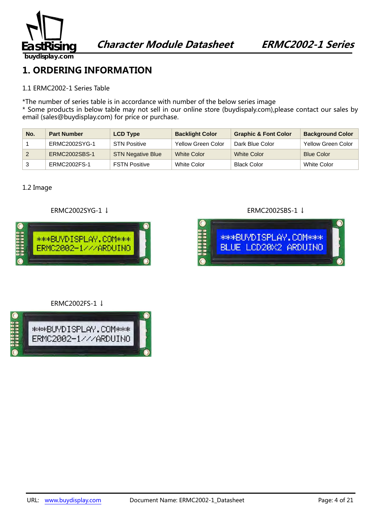

**1. ORDERING INFORMATION** 

#### 1.1 ERMC2002-1 Series Table

\*The number of series table is in accordance with number of the below series image

\* Some products in below table may not sell in our online store (buydispaly.com),please contact our sales by email (sales@buydisplay.com) for price or purchase.

| No. | <b>Part Number</b> | <b>LCD Type</b>          | <b>Backlight Color</b> | <b>Graphic &amp; Font Color</b> | <b>Background Color</b>   |
|-----|--------------------|--------------------------|------------------------|---------------------------------|---------------------------|
|     | ERMC2002SYG-1      | <b>STN Positive</b>      | Yellow Green Color     | Dark Blue Color                 | <b>Yellow Green Color</b> |
|     | ERMC2002SBS-1      | <b>STN Negative Blue</b> | <b>White Color</b>     | <b>White Color</b>              | <b>Blue Color</b>         |
|     | ERMC2002FS-1       | <b>FSTN Positive</b>     | White Color            | Black Color                     | White Color               |

#### 1.2 Image







#### ERMC2002FS-1 ↓

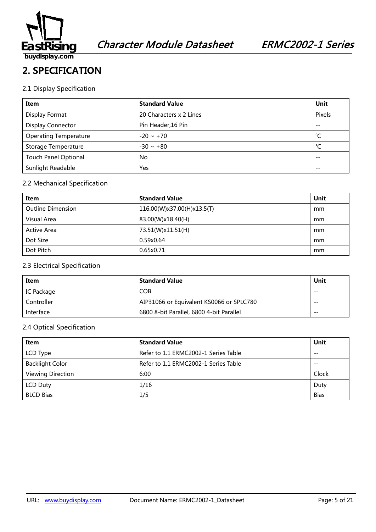

#### **2. SPECIFICATION**

#### 2.1 Display Specification

| Item                         | <b>Standard Value</b>   | Unit   |
|------------------------------|-------------------------|--------|
| Display Format               | 20 Characters x 2 Lines | Pixels |
| Display Connector            | Pin Header, 16 Pin      | $- -$  |
| <b>Operating Temperature</b> | $-20 \sim +70$          | °C     |
| Storage Temperature          | $-30 \sim +80$          | °C     |
| <b>Touch Panel Optional</b>  | No                      | $- -$  |
| Sunlight Readable            | Yes                     | $- -$  |

#### 2.2 Mechanical Specification

| Item                     | <b>Standard Value</b>      | Unit |
|--------------------------|----------------------------|------|
| <b>Outline Dimension</b> | 116.00(W)x37.00(H)x13.5(T) | mm   |
| Visual Area              | 83.00(W)x18.40(H)          | mm   |
| Active Area              | 73.51(W)x11.51(H)          | mm   |
| Dot Size                 | 0.59x0.64                  | mm   |
| Dot Pitch                | 0.65x0.71                  | mm   |

#### 2.3 Electrical Specification

| Item       | <b>Standard Value</b>                    | Unit  |
|------------|------------------------------------------|-------|
| IC Package | <b>COB</b>                               | $- -$ |
| Controller | AIP31066 or Equivalent KS0066 or SPLC780 | $- -$ |
| Interface  | 6800 8-bit Parallel, 6800 4-bit Parallel | $- -$ |

#### 2.4 Optical Specification

| Item                   | <b>Standard Value</b>                | Unit        |
|------------------------|--------------------------------------|-------------|
| LCD Type               | Refer to 1.1 ERMC2002-1 Series Table | $- -$       |
| <b>Backlight Color</b> | Refer to 1.1 ERMC2002-1 Series Table | $- -$       |
| Viewing Direction      | 6:00                                 | Clock       |
| <b>LCD Duty</b>        | 1/16                                 | Duty        |
| <b>BLCD Bias</b>       | 1/5                                  | <b>Bias</b> |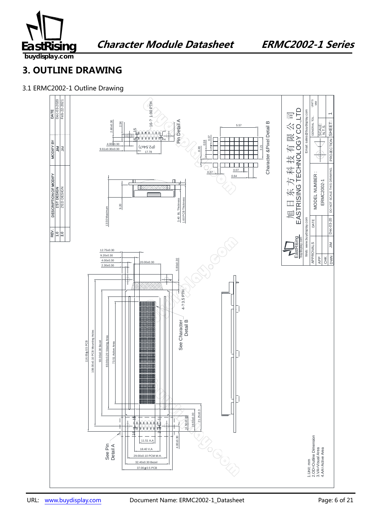

**Character Module Datasheet ERMC2002-1 Series** 

**buydisplay.com**

### **3. OUTLINE DRAWING**

3.1 ERMC2002-1 Outline Drawing

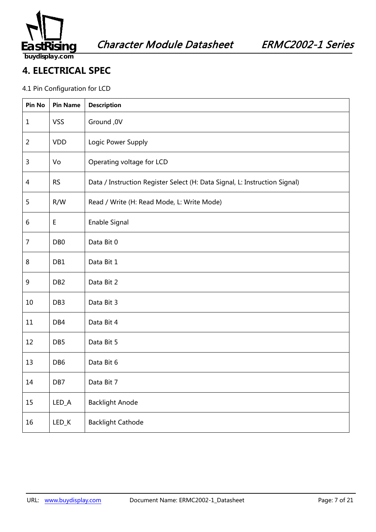

### **4. ELECTRICAL SPEC**

#### 4.1 Pin Configuration for LCD

| Pin No         | <b>Pin Name</b> | <b>Description</b>                                                         |
|----------------|-----------------|----------------------------------------------------------------------------|
| $\mathbf{1}$   | <b>VSS</b>      | Ground, 0V                                                                 |
| $\overline{2}$ | <b>VDD</b>      | Logic Power Supply                                                         |
| 3              | Vo              | Operating voltage for LCD                                                  |
| 4              | <b>RS</b>       | Data / Instruction Register Select (H: Data Signal, L: Instruction Signal) |
| 5              | R/W             | Read / Write (H: Read Mode, L: Write Mode)                                 |
| 6              | Е               | Enable Signal                                                              |
| $\overline{7}$ | DB <sub>0</sub> | Data Bit 0                                                                 |
| 8              | DB1             | Data Bit 1                                                                 |
| 9              | DB <sub>2</sub> | Data Bit 2                                                                 |
| 10             | DB <sub>3</sub> | Data Bit 3                                                                 |
| 11             | DB <sub>4</sub> | Data Bit 4                                                                 |
| 12             | DB <sub>5</sub> | Data Bit 5                                                                 |
| 13             | DB <sub>6</sub> | Data Bit 6                                                                 |
| 14             | DB7             | Data Bit 7                                                                 |
| 15             | LED_A           | <b>Backlight Anode</b>                                                     |
| 16             | $LED_K$         | <b>Backlight Cathode</b>                                                   |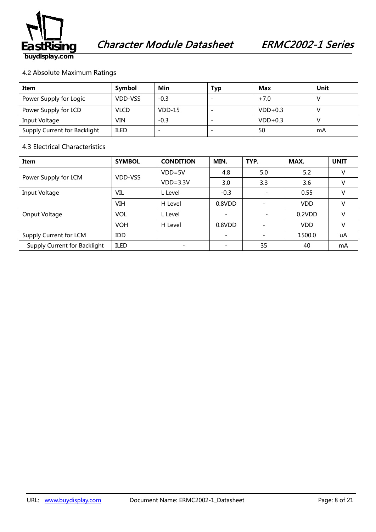

#### 4.2 Absolute Maximum Ratings

| Item                         | Symbol      | Min      | Typ | Max       | Unit |
|------------------------------|-------------|----------|-----|-----------|------|
| Power Supply for Logic       | VDD-VSS     | $-0.3$   |     | $+7.0$    |      |
| Power Supply for LCD         | <b>VLCD</b> | $VDD-15$ |     | $VDD+0.3$ |      |
| Input Voltage                | VIN         | $-0.3$   |     | $VDD+0.3$ |      |
| Supply Current for Backlight | <b>ILED</b> |          |     | 50        | mA   |

#### 4.3 Electrical Characteristics

| <b>Item</b>                  | <b>SYMBOL</b> | <b>CONDITION</b> | MIN.   | TYP.                     | MAX.       | <b>UNIT</b> |
|------------------------------|---------------|------------------|--------|--------------------------|------------|-------------|
|                              |               | $VDD=5V$         | 4.8    | 5.0                      | 5.2        |             |
| Power Supply for LCM         | VDD-VSS       | $VDD = 3.3V$     | 3.0    | 3.3                      | 3.6        | V           |
| Input Voltage                | VIL           | L Level          | $-0.3$ | $\overline{\phantom{a}}$ | 0.55       | v           |
|                              | VIH           | H Level          | 0.8VDD |                          | <b>VDD</b> | V           |
| Onput Voltage                | <b>VOL</b>    | L Level          |        | $\overline{\phantom{a}}$ | 0.2VDD     | V           |
|                              | <b>VOH</b>    | H Level          | 0.8VDD |                          | <b>VDD</b> | V           |
| Supply Current for LCM       | IDD           |                  |        |                          | 1500.0     | uA          |
| Supply Current for Backlight | <b>ILED</b>   |                  |        | 35                       | 40         | mA          |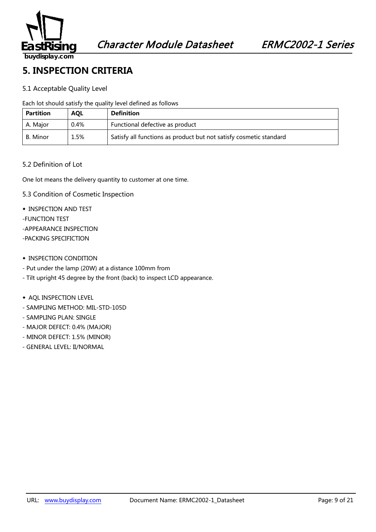

#### **5. INSPECTION CRITERIA**

#### 5.1 Acceptable Quality Level

Each lot should satisfy the quality level defined as follows

| <b>Partition</b> | <b>AOL</b> | <b>Definition</b>                                                  |  |  |  |
|------------------|------------|--------------------------------------------------------------------|--|--|--|
| A. Major         | 0.4%       | Functional defective as product                                    |  |  |  |
| B. Minor         | 1.5%       | Satisfy all functions as product but not satisfy cosmetic standard |  |  |  |

#### 5.2 Definition of Lot

One lot means the delivery quantity to customer at one time.

- 5.3 Condition of Cosmetic Inspection
- ◆ INSPECTION AND TEST
- -FUNCTION TEST
- -APPEARANCE INSPECTION
- -PACKING SPECIFICTION
- ◆ INSPECTION CONDITION
- Put under the lamp (20W) at a distance 100mm from
- Tilt upright 45 degree by the front (back) to inspect LCD appearance.
- ◆ AQL INSPECTION LEVEL
- SAMPLING METHOD: MIL-STD-105D
- SAMPLING PLAN: SINGLE
- MAJOR DEFECT: 0.4% (MAJOR)
- MINOR DEFECT: 1.5% (MINOR)
- GENERAL LEVEL: II/NORMAL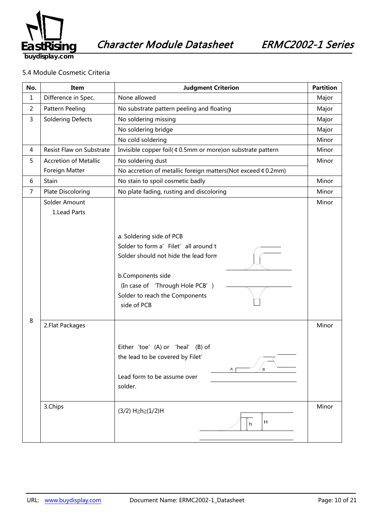

#### 5.4 Module Cosmetic Criteria

| No.          | Item                          | <b>Judgment Criterion</b>                                                                                                                                                                                          |                |
|--------------|-------------------------------|--------------------------------------------------------------------------------------------------------------------------------------------------------------------------------------------------------------------|----------------|
| $\mathbf{1}$ | Difference in Spec.           | None allowed                                                                                                                                                                                                       |                |
| 2            | Pattern Peeling               | No substrate pattern peeling and floating                                                                                                                                                                          | Major          |
| 3            | <b>Soldering Defects</b>      | No soldering missing                                                                                                                                                                                               | Major          |
|              |                               | No soldering bridge                                                                                                                                                                                                | Major          |
|              |                               | No cold soldering                                                                                                                                                                                                  | Minor          |
| 4            | Resist Flaw on Substrate      | Invisible copper foil( ¢ 0.5mm or more) on substrate pattern                                                                                                                                                       | Minor          |
| 5            | <b>Accretion of Metallic</b>  | No soldering dust                                                                                                                                                                                                  | Minor          |
|              | Foreign Matter                | No accretion of metallic foreign matters(Not exceed ¢ 0.2mm)                                                                                                                                                       |                |
| 6            | Stain                         | No stain to spoil cosmetic badly                                                                                                                                                                                   | Minor          |
| 7            | Plate Discoloring             | No plate fading, rusting and discoloring                                                                                                                                                                           | Minor          |
| 8            | Solder Amount<br>1.Lead Parts | a. Soldering side of PCB<br>Solder to form a' Filet' all around t<br>Solder should not hide the lead form<br>b.Components side<br>(In case of 'Through Hole PCB')<br>Solder to reach the Components<br>side of PCB | Minor          |
|              | 2. Flat Packages<br>3.Chips   | Either 'toe' (A) or 'heal' (B) of<br>the lead to be covered by Filet'<br>$\mathbf{B}$<br>А,<br>Lead form to be assume over<br>solder.<br>(3/2) H≥h≥(1/2)H<br>Н<br>h                                                | Minor<br>Minor |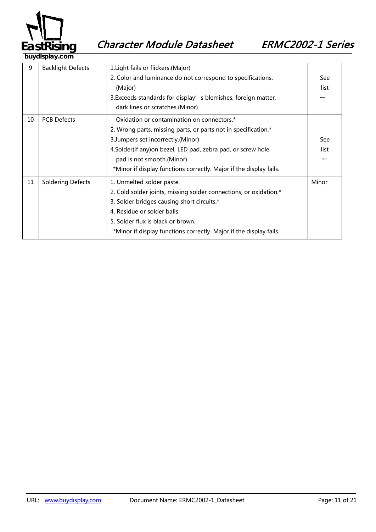

9 | Backlight Defects | 1.Light fails or flickers.(Major) 2. Color and luminance do not correspond to specifications. (Major) 3. Exceeds standards for display's blemishes, foreign matter, dark lines or scratches.(Minor) See list ← 10 | PCB Defects | Oxidation or contamination on connectors.\* 2. Wrong parts, missing parts, or parts not in specification.\* 3.Jumpers set incorrectly.(Minor) 4.Solder(if any)on bezel, LED pad, zebra pad, or screw hole pad is not smooth.(Minor) \*Minor if display functions correctly. Major if the display fails. See list ← 11 | Soldering Defects | 1. Unmelted solder paste. 2. Cold solder joints, missing solder connections, or oxidation.\* 3. Solder bridges causing short circuits.\* 4. Residue or solder balls. 5. Solder flux is black or brown. \*Minor if display functions correctly. Major if the display fails. Minor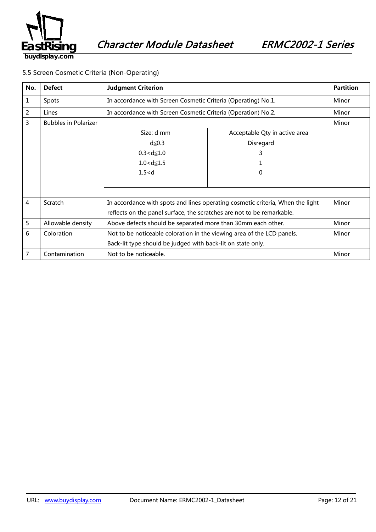

#### 5.5 Screen Cosmetic Criteria (Non-Operating)

| No. | <b>Defect</b>               | <b>Judgment Criterion</b>                                                      |                               | <b>Partition</b> |
|-----|-----------------------------|--------------------------------------------------------------------------------|-------------------------------|------------------|
| 1   | Spots                       | In accordance with Screen Cosmetic Criteria (Operating) No.1.                  |                               | Minor            |
| 2   | Lines                       | In accordance with Screen Cosmetic Criteria (Operation) No.2.                  |                               | Minor            |
| 3   | <b>Bubbles in Polarizer</b> |                                                                                |                               | Minor            |
|     |                             | Size: d mm                                                                     | Acceptable Qty in active area |                  |
|     |                             | $d \leq 0.3$                                                                   | Disregard                     |                  |
|     |                             | $0.3 < d \le 1.0$                                                              | 3                             |                  |
|     |                             | $1.0 < d \le 1.5$                                                              |                               |                  |
|     |                             | 1.5 < d                                                                        | 0                             |                  |
|     |                             |                                                                                |                               |                  |
|     |                             |                                                                                |                               |                  |
| 4   | Scratch                     | In accordance with spots and lines operating cosmetic criteria, When the light |                               | Minor            |
|     |                             | reflects on the panel surface, the scratches are not to be remarkable.         |                               |                  |
| 5   | Allowable density           | Above defects should be separated more than 30mm each other.                   |                               | Minor            |
| 6   | Coloration                  | Not to be noticeable coloration in the viewing area of the LCD panels.         |                               | Minor            |
|     |                             | Back-lit type should be judged with back-lit on state only.                    |                               |                  |
| 7   | Contamination               | Not to be noticeable.                                                          |                               | Minor            |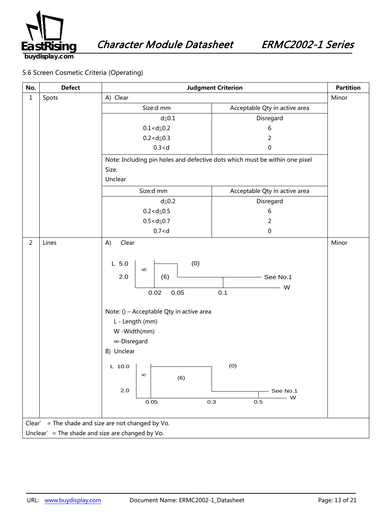

#### 5.6 Screen Cosmetic Criteria (Operating)

| No.            | <b>Defect</b>                                         | <b>Judgment Criterion</b>                                                                                                                                                                                                            |                                                                | <b>Partition</b> |  |  |
|----------------|-------------------------------------------------------|--------------------------------------------------------------------------------------------------------------------------------------------------------------------------------------------------------------------------------------|----------------------------------------------------------------|------------------|--|--|
| $\mathbf 1$    | Spots                                                 | A) Clear                                                                                                                                                                                                                             |                                                                | Minor            |  |  |
|                |                                                       | Size:d mm                                                                                                                                                                                                                            | Acceptable Qty in active area                                  |                  |  |  |
|                |                                                       | $d \leq 0.1$                                                                                                                                                                                                                         | Disregard                                                      |                  |  |  |
|                |                                                       | $0.1 < d \le 0.2$                                                                                                                                                                                                                    | 6                                                              |                  |  |  |
|                |                                                       | $0.2 < d \le 0.3$                                                                                                                                                                                                                    | $\overline{2}$                                                 |                  |  |  |
|                |                                                       | 0.3 < d                                                                                                                                                                                                                              | 0                                                              |                  |  |  |
|                |                                                       | Note: Including pin holes and defective dots which must be within one pixel                                                                                                                                                          |                                                                |                  |  |  |
|                |                                                       | Size.                                                                                                                                                                                                                                |                                                                |                  |  |  |
|                |                                                       | Unclear                                                                                                                                                                                                                              |                                                                |                  |  |  |
|                |                                                       | Size:d mm                                                                                                                                                                                                                            | Acceptable Qty in active area                                  |                  |  |  |
|                |                                                       | $d \leq 0.2$                                                                                                                                                                                                                         | Disregard                                                      |                  |  |  |
|                |                                                       | $0.2 < d \le 0.5$                                                                                                                                                                                                                    | 6                                                              |                  |  |  |
|                |                                                       | $0.5 < d \le 0.7$                                                                                                                                                                                                                    | $\overline{2}$                                                 |                  |  |  |
|                |                                                       | 0.7 < d                                                                                                                                                                                                                              | $\pmb{0}$                                                      |                  |  |  |
| $\overline{2}$ | Lines                                                 | Clear<br>A)                                                                                                                                                                                                                          |                                                                | Minor            |  |  |
|                |                                                       | (0)<br>$L$ 5.0<br>$\infty$<br>2.0<br>(6)<br>0.05<br>0.02<br>Note: () - Acceptable Qty in active area<br>L - Length (mm)<br>W -Width(mm)<br>∞-Disregard<br>B) Unclear<br>L 10.0 $\vert$ $\vert$<br>$\infty$<br>(6)<br>$2.0\,$<br>0.05 | See No.1<br>W<br>0.1<br>(0)<br>See No.1<br>$-$ W<br>0.3<br>0.5 |                  |  |  |
|                | = The shade and size are not changed by Vo.<br>Clear' |                                                                                                                                                                                                                                      |                                                                |                  |  |  |
|                | Unclear' = The shade and size are changed by Vo.      |                                                                                                                                                                                                                                      |                                                                |                  |  |  |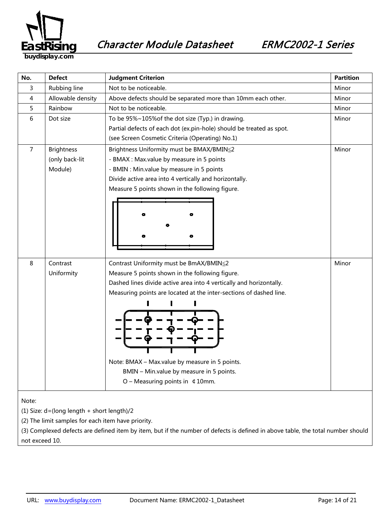

Character Module Datasheet ERMC2002-1 Series

**buydisplay.com**

| No.                                        | <b>Defect</b>     | <b>Judgment Criterion</b>                                            | <b>Partition</b> |  |
|--------------------------------------------|-------------------|----------------------------------------------------------------------|------------------|--|
| 3                                          | Rubbing line      | Not to be noticeable.                                                | Minor            |  |
| 4                                          | Allowable density | Above defects should be separated more than 10mm each other.         | Minor            |  |
| 5                                          | Rainbow           | Not to be noticeable.                                                | Minor            |  |
| 6                                          | Dot size          | To be 95%~105% of the dot size (Typ.) in drawing.                    |                  |  |
|                                            |                   | Partial defects of each dot (ex.pin-hole) should be treated as spot. |                  |  |
|                                            |                   | (see Screen Cosmetic Criteria (Operating) No.1)                      |                  |  |
| $\overline{7}$                             | <b>Brightness</b> | Brightness Uniformity must be BMAX/BMIN≦2                            | Minor            |  |
|                                            | (only back-lit    | - BMAX : Max.value by measure in 5 points                            |                  |  |
|                                            | Module)           | - BMIN : Min.value by measure in 5 points                            |                  |  |
|                                            |                   | Divide active area into 4 vertically and horizontally.               |                  |  |
|                                            |                   | Measure 5 points shown in the following figure.                      |                  |  |
|                                            |                   |                                                                      |                  |  |
|                                            |                   |                                                                      |                  |  |
|                                            |                   |                                                                      |                  |  |
|                                            |                   |                                                                      |                  |  |
|                                            |                   |                                                                      |                  |  |
|                                            |                   |                                                                      |                  |  |
| 8                                          | Contrast          | Contrast Uniformity must be BmAX/BMIN≦2                              | Minor            |  |
|                                            | Uniformity        | Measure 5 points shown in the following figure.                      |                  |  |
|                                            |                   | Dashed lines divide active area into 4 vertically and horizontally.  |                  |  |
|                                            |                   | Measuring points are located at the inter-sections of dashed line.   |                  |  |
|                                            |                   |                                                                      |                  |  |
|                                            |                   |                                                                      |                  |  |
|                                            |                   |                                                                      |                  |  |
|                                            |                   |                                                                      |                  |  |
|                                            |                   |                                                                      |                  |  |
|                                            |                   |                                                                      |                  |  |
|                                            |                   | Note: BMAX - Max.value by measure in 5 points.                       |                  |  |
|                                            |                   | BMIN - Min.value by measure in 5 points.                             |                  |  |
|                                            |                   | $O$ – Measuring points in $\updownarrow$ 10mm.                       |                  |  |
|                                            |                   |                                                                      |                  |  |
| Note:                                      |                   |                                                                      |                  |  |
| (1) Size: d=(long length + short length)/2 |                   |                                                                      |                  |  |

(2) The limit samples for each item have priority.

(3) Complexed defects are defined item by item, but if the number of defects is defined in above table, the total number should not exceed 10.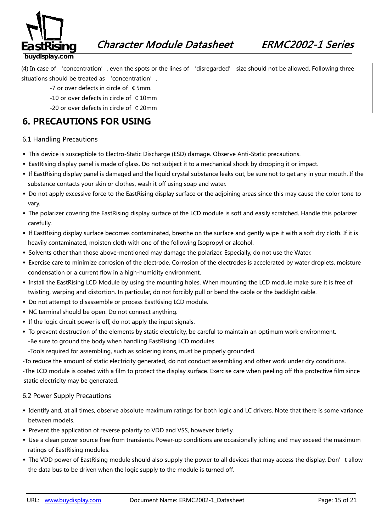

(4) In case of 'concentration', even the spots or the lines of 'disregarded' size should not be allowed. Following three situations should be treated as 'concentration'.

- -7 or over defects in circle of ¢5mm.
- -10 or over defects in circle of ¢10mm
- -20 or over defects in circle of ¢20mm

### **6. PRECAUTIONS FOR USING**

#### 6.1 Handling Precautions

- ◆ This device is susceptible to Electro-Static Discharge (ESD) damage. Observe Anti-Static precautions.
- ◆ EastRising display panel is made of glass. Do not subject it to a mechanical shock by dropping it or impact.
- ◆ If EastRising display panel is damaged and the liquid crystal substance leaks out, be sure not to get any in your mouth. If the substance contacts your skin or clothes, wash it off using soap and water.
- ◆ Do not apply excessive force to the EastRising display surface or the adjoining areas since this may cause the color tone to vary.
- ◆ The polarizer covering the EastRising display surface of the LCD module is soft and easily scratched. Handle this polarizer carefully.
- ◆ If EastRising display surface becomes contaminated, breathe on the surface and gently wipe it with a soft dry cloth. If it is heavily contaminated, moisten cloth with one of the following Isopropyl or alcohol.
- ◆ Solvents other than those above-mentioned may damage the polarizer. Especially, do not use the Water.
- ◆ Exercise care to minimize corrosion of the electrode. Corrosion of the electrodes is accelerated by water droplets, moisture condensation or a current flow in a high-humidity environment.
- ◆ Install the EastRising LCD Module by using the mounting holes. When mounting the LCD module make sure it is free of twisting, warping and distortion. In particular, do not forcibly pull or bend the cable or the backlight cable.
- ◆ Do not attempt to disassemble or process EastRising LCD module.
- ◆ NC terminal should be open. Do not connect anything.
- ◆ If the logic circuit power is off, do not apply the input signals.
- ◆ To prevent destruction of the elements by static electricity, be careful to maintain an optimum work environment. -Be sure to ground the body when handling EastRising LCD modules.

-Tools required for assembling, such as soldering irons, must be properly grounded.

-To reduce the amount of static electricity generated, do not conduct assembling and other work under dry conditions.

-The LCD module is coated with a film to protect the display surface. Exercise care when peeling off this protective film since static electricity may be generated.

#### 6.2 Power Supply Precautions

- *38B5246139B*◆ Identify and, at all times, observe absolute maximum ratings for both logic and LC drivers. Note that there is some variance between models.
- ◆ Prevent the application of reverse polarity to VDD and VSS, however briefly.
- ◆ Use a clean power source free from transients. Power-up conditions are occasionally jolting and may exceed the maximum ratings of EastRising modules.
- ◆ The VDD power of EastRising module should also supply the power to all devices that may access the display. Don't allow the data bus to be driven when the logic supply to the module is turned off.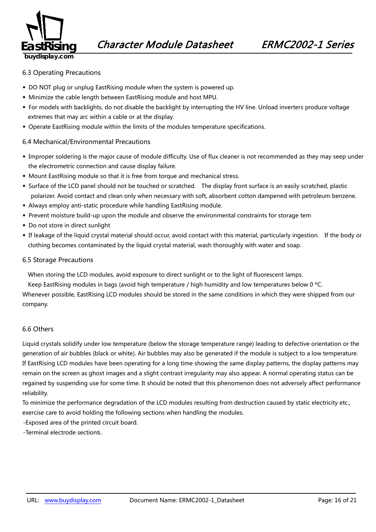

#### 6.3 Operating Precautions

- ◆ DO NOT plug or unplug EastRising module when the system is powered up.
- ◆ Minimize the cable length between EastRising module and host MPU.
- ◆ For models with backlights, do not disable the backlight by interrupting the HV line. Unload inverters produce voltage extremes that may arc within a cable or at the display.
- ◆ Operate EastRising module within the limits of the modules temperature specifications.

#### 6.4 Mechanical/Environmental Precautions

- ◆ Improper soldering is the major cause of module difficulty. Use of flux cleaner is not recommended as they may seep under the electrometric connection and cause display failure.
- ◆ Mount EastRising module so that it is free from torque and mechanical stress.
- ◆ Surface of the LCD panel should not be touched or scratched. The display front surface is an easily scratched, plastic polarizer. Avoid contact and clean only when necessary with soft, absorbent cotton dampened with petroleum benzene.
- ◆ Always employ anti-static procedure while handling EastRising module.
- ◆ Prevent moisture build-up upon the module and observe the environmental constraints for storage tem
- ◆ Do not store in direct sunlight
- ◆ If leakage of the liquid crystal material should occur, avoid contact with this material, particularly ingestion. If the body or clothing becomes contaminated by the liquid crystal material, wash thoroughly with water and soap.

#### 6.5 Storage Precautions

When storing the LCD modules, avoid exposure to direct sunlight or to the light of fluorescent lamps.

Keep EastRising modules in bags (avoid high temperature / high humidity and low temperatures below 0 °C.

Whenever possible, EastRising LCD modules should be stored in the same conditions in which they were shipped from our company.

#### 6.6 Others

Liquid crystals solidify under low temperature (below the storage temperature range) leading to defective orientation or the generation of air bubbles (black or white). Air bubbles may also be generated if the module is subject to a low temperature. If EastRising LCD modules have been operating for a long time showing the same display patterns, the display patterns may remain on the screen as ghost images and a slight contrast irregularity may also appear. A normal operating status can be regained by suspending use for some time. It should be noted that this phenomenon does not adversely affect performance reliability.

To minimize the performance degradation of the LCD modules resulting from destruction caused by static electricity etc., exercise care to avoid holding the following sections when handling the modules.

-Exposed area of the printed circuit board.

-Terminal electrode sections.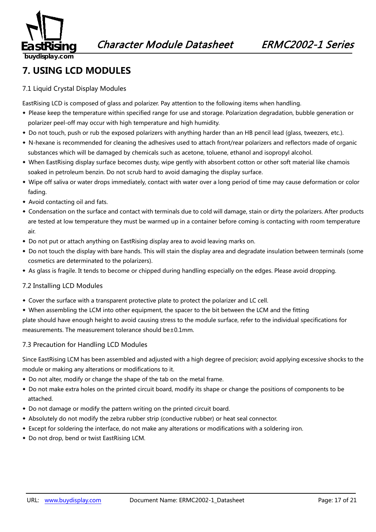

### **7. USING LCD MODULES**

#### 7.1 Liquid Crystal Display Modules

EastRising LCD is composed of glass and polarizer. Pay attention to the following items when handling.

- ◆ Please keep the temperature within specified range for use and storage. Polarization degradation, bubble generation or polarizer peel-off may occur with high temperature and high humidity.
- ◆ Do not touch, push or rub the exposed polarizers with anything harder than an HB pencil lead (glass, tweezers, etc.).
- ◆ N-hexane is recommended for cleaning the adhesives used to attach front/rear polarizers and reflectors made of organic substances which will be damaged by chemicals such as acetone, toluene, ethanol and isopropyl alcohol.
- ◆ When EastRising display surface becomes dusty, wipe gently with absorbent cotton or other soft material like chamois soaked in petroleum benzin. Do not scrub hard to avoid damaging the display surface.
- ◆ Wipe off saliva or water drops immediately, contact with water over a long period of time may cause deformation or color fading.
- ◆ Avoid contacting oil and fats.
- ◆ Condensation on the surface and contact with terminals due to cold will damage, stain or dirty the polarizers. After products are tested at low temperature they must be warmed up in a container before coming is contacting with room temperature air.
- ◆ Do not put or attach anything on EastRising display area to avoid leaving marks on.
- ◆ Do not touch the display with bare hands. This will stain the display area and degradate insulation between terminals (some cosmetics are determinated to the polarizers).
- ◆ As glass is fragile. It tends to become or chipped during handling especially on the edges. Please avoid dropping.

#### 7.2 Installing LCD Modules

- ◆ Cover the surface with a transparent protective plate to protect the polarizer and LC cell.
- ◆ When assembling the LCM into other equipment, the spacer to the bit between the LCM and the fitting

plate should have enough height to avoid causing stress to the module surface, refer to the individual specifications for measurements. The measurement tolerance should be±0.1mm.

#### 7.3 Precaution for Handling LCD Modules

Since EastRising LCM has been assembled and adjusted with a high degree of precision; avoid applying excessive shocks to the module or making any alterations or modifications to it.

- ◆ Do not alter, modify or change the shape of the tab on the metal frame.
- ◆ Do not make extra holes on the printed circuit board, modify its shape or change the positions of components to be attached.
- ◆ Do not damage or modify the pattern writing on the printed circuit board.
- ◆ Absolutely do not modify the zebra rubber strip (conductive rubber) or heat seal connector.
- ◆ Except for soldering the interface, do not make any alterations or modifications with a soldering iron.
- ◆ Do not drop, bend or twist EastRising LCM.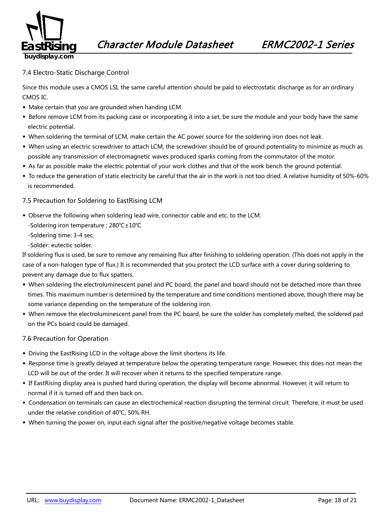

#### 7.4 Electro-Static Discharge Control

Since this module uses a CMOS LSI, the same careful attention should be paid to electrostatic discharge as for an ordinary CMOS IC.

- ◆ Make certain that you are grounded when handing LCM.
- ◆ Before remove LCM from its packing case or incorporating it into a set, be sure the module and your body have the same electric potential.
- ◆ When soldering the terminal of LCM, make certain the AC power source for the soldering iron does not leak.
- ◆ When using an electric screwdriver to attach LCM, the screwdriver should be of ground potentiality to minimize as much as possible any transmission of electromagnetic waves produced sparks coming from the commutator of the motor.
- ◆ As far as possible make the electric potential of your work clothes and that of the work bench the ground potential.
- ◆ To reduce the generation of static electricity be careful that the air in the work is not too dried. A relative humidity of 50%-60% is recommended.

#### 7.5 Precaution for Soldering to EastRising LCM

- ◆ Observe the following when soldering lead wire, connector cable and etc. to the LCM.
	- -Soldering iron temperature : 280℃±10℃
	- -Soldering time: 3-4 sec.
	- -Solder: eutectic solder.

If soldering flux is used, be sure to remove any remaining flux after finishing to soldering operation. (This does not apply in the case of a non-halogen type of flux.) It is recommended that you protect the LCD surface with a cover during soldering to prevent any damage due to flux spatters.

- ◆ When soldering the electroluminescent panel and PC board, the panel and board should not be detached more than three times. This maximum number is determined by the temperature and time conditions mentioned above, though there may be some variance depending on the temperature of the soldering iron.
- ◆ When remove the electroluminescent panel from the PC board, be sure the solder has completely melted, the soldered pad on the PCs board could be damaged.

#### 7.6 Precaution for Operation

- ◆ Driving the EastRising LCD in the voltage above the limit shortens its life.
- ◆ Response time is greatly delayed at temperature below the operating temperature range. However, this does not mean the LCD will be out of the order. It will recover when it returns to the specified temperature range.
- ◆ If EastRising display area is pushed hard during operation, the display will become abnormal. However, it will return to normal if it is turned off and then back on.
- ◆ Condensation on terminals can cause an electrochemical reaction disrupting the terminal circuit. Therefore, it must be used under the relative condition of 40℃, 50% RH.
- ◆ When turning the power on, input each signal after the positive/negative voltage becomes stable.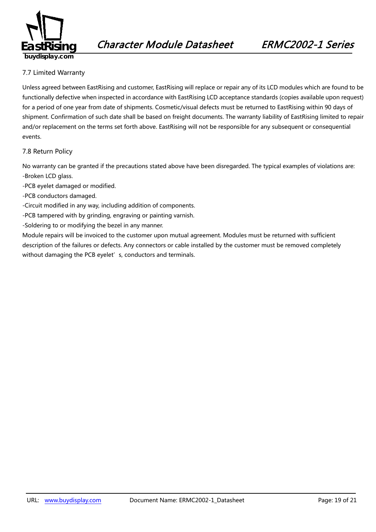

#### 7.7 Limited Warranty

*49B163*Unless agreed between EastRising and customer, EastRising will replace or repair any of its LCD modules which are found to be functionally defective when inspected in accordance with EastRising LCD acceptance standards (copies available upon request) for a period of one year from date of shipments. Cosmetic/visual defects must be returned to EastRising within 90 days of shipment. Confirmation of such date shall be based on freight documents. The warranty liability of EastRising limited to repair and/or replacement on the terms set forth above. EastRising will not be responsible for any subsequent or consequential events.

#### 7.8 Return Policy

*2B4196*No warranty can be granted if the precautions stated above have been disregarded. The typical examples of violations are: -Broken LCD glass.

- -PCB eyelet damaged or modified.
- -PCB conductors damaged.
- -Circuit modified in any way, including addition of components.
- -PCB tampered with by grinding, engraving or painting varnish.
- -Soldering to or modifying the bezel in any manner.

Module repairs will be invoiced to the customer upon mutual agreement. Modules must be returned with sufficient description of the failures or defects. Any connectors or cable installed by the customer must be removed completely without damaging the PCB eyelet's, conductors and terminals.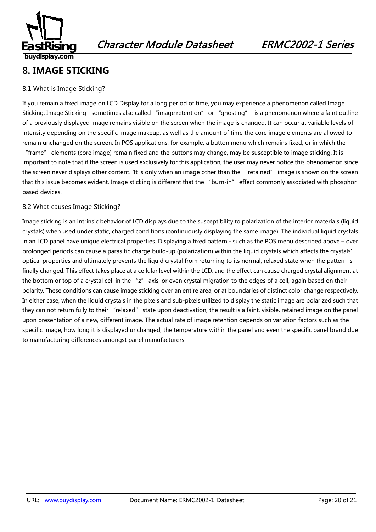

### **8. IMAGE STICKING**

#### 8.1 What is Image Sticking?

If you remain a fixed image on LCD Display for a long period of time, you may experience a phenomenon called Image Sticking. Image Sticking - sometimes also called "image retention" or "ghosting" - is a phenomenon where a faint outline of a previously displayed image remains visible on the screen when the image is changed. It can occur at variable levels of intensity depending on the specific image makeup, as well as the amount of time the core image elements are allowed to remain unchanged on the screen. In POS applications, for example, a button menu which remains fixed, or in which the

"frame" elements (core image) remain fixed and the buttons may change, may be susceptible to image sticking. It is important to note that if the screen is used exclusively for this application, the user may never notice this phenomenon since the screen never displays other content. `It is only when an image other than the "retained" image is shown on the screen that this issue becomes evident. Image sticking is different that the "burn-in" effect commonly associated with phosphor based devices.

#### 8.2 What causes Image Sticking?

Image sticking is an intrinsic behavior of LCD displays due to the susceptibility to polarization of the interior materials (liquid crystals) when used under static, charged conditions (continuously displaying the same image). The individual liquid crystals in an LCD panel have unique electrical properties. Displaying a fixed pattern - such as the POS menu described above – over prolonged periods can cause a parasitic charge build-up (polarization) within the liquid crystals which affects the crystals' optical properties and ultimately prevents the liquid crystal from returning to its normal, relaxed state when the pattern is finally changed. This effect takes place at a cellular level within the LCD, and the effect can cause charged crystal alignment at the bottom or top of a crystal cell in the "z" axis, or even crystal migration to the edges of a cell, again based on their polarity. These conditions can cause image sticking over an entire area, or at boundaries of distinct color change respectively. In either case, when the liquid crystals in the pixels and sub-pixels utilized to display the static image are polarized such that they can not return fully to their "relaxed" state upon deactivation, the result is a faint, visible, retained image on the panel upon presentation of a new, different image. The actual rate of image retention depends on variation factors such as the specific image, how long it is displayed unchanged, the temperature within the panel and even the specific panel brand due to manufacturing differences amongst panel manufacturers.